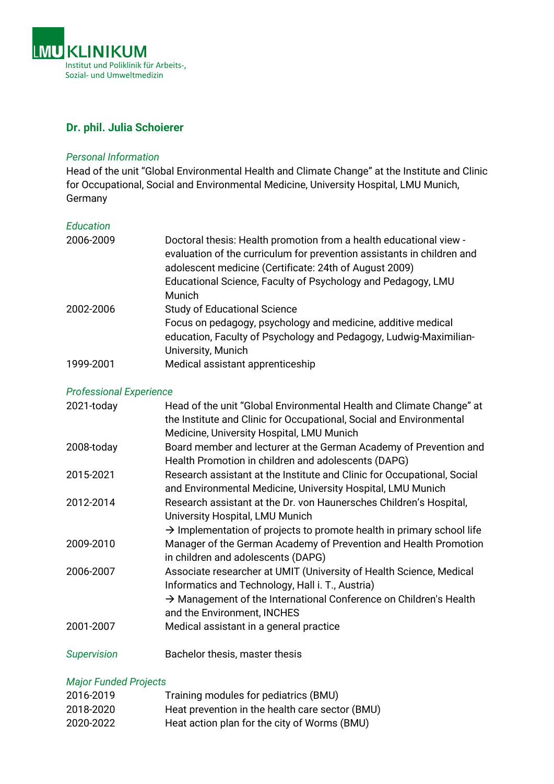

# **Dr. phil. Julia Schoierer**

### *Personal Information*

Head of the unit "Global Environmental Health and Climate Change" at the Institute and Clinic for Occupational, Social and Environmental Medicine, University Hospital, LMU Munich, Germany

#### *Education*

| 2006-2009 | Doctoral thesis: Health promotion from a health educational view -<br>evaluation of the curriculum for prevention assistants in children and<br>adolescent medicine (Certificate: 24th of August 2009)<br>Educational Science, Faculty of Psychology and Pedagogy, LMU<br><b>Munich</b> |
|-----------|-----------------------------------------------------------------------------------------------------------------------------------------------------------------------------------------------------------------------------------------------------------------------------------------|
| 2002-2006 | <b>Study of Educational Science</b><br>Focus on pedagogy, psychology and medicine, additive medical<br>education, Faculty of Psychology and Pedagogy, Ludwig-Maximilian-<br>University, Munich                                                                                          |
| 1999-2001 | Medical assistant apprenticeship                                                                                                                                                                                                                                                        |

#### *Professional Experience*

| 2021-today         | Head of the unit "Global Environmental Health and Climate Change" at              |
|--------------------|-----------------------------------------------------------------------------------|
|                    | the Institute and Clinic for Occupational, Social and Environmental               |
|                    | Medicine, University Hospital, LMU Munich                                         |
| 2008-today         | Board member and lecturer at the German Academy of Prevention and                 |
|                    | Health Promotion in children and adolescents (DAPG)                               |
| 2015-2021          | Research assistant at the Institute and Clinic for Occupational, Social           |
|                    | and Environmental Medicine, University Hospital, LMU Munich                       |
| 2012-2014          | Research assistant at the Dr. von Haunersches Children's Hospital,                |
|                    | University Hospital, LMU Munich                                                   |
|                    | $\rightarrow$ Implementation of projects to promote health in primary school life |
| 2009-2010          | Manager of the German Academy of Prevention and Health Promotion                  |
|                    | in children and adolescents (DAPG)                                                |
| 2006-2007          | Associate researcher at UMIT (University of Health Science, Medical               |
|                    | Informatics and Technology, Hall i. T., Austria)                                  |
|                    | $\rightarrow$ Management of the International Conference on Children's Health     |
|                    | and the Environment, INCHES                                                       |
| 2001-2007          | Medical assistant in a general practice                                           |
| <b>Supervision</b> | Bachelor thesis, master thesis                                                    |

# *Major Funded Projects*

| 2016-2019 | Training modules for pediatrics (BMU)           |
|-----------|-------------------------------------------------|
| 2018-2020 | Heat prevention in the health care sector (BMU) |
| 2020-2022 | Heat action plan for the city of Worms (BMU)    |